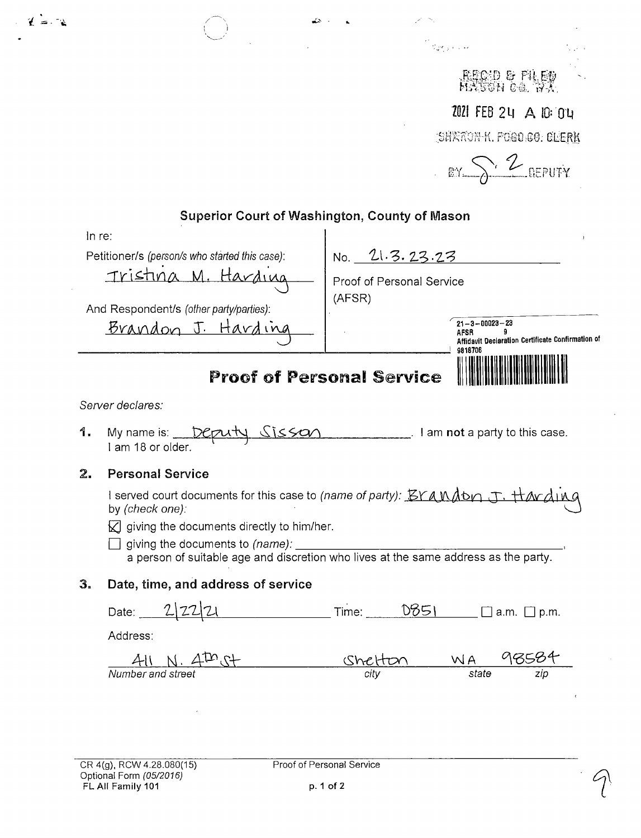|                                                |                                                                                                                                                                                                                                                                                                 |                                  | Sams killer                      |                                                   |
|------------------------------------------------|-------------------------------------------------------------------------------------------------------------------------------------------------------------------------------------------------------------------------------------------------------------------------------------------------|----------------------------------|----------------------------------|---------------------------------------------------|
|                                                |                                                                                                                                                                                                                                                                                                 |                                  | .Becud & filer<br>Hasson ca. 773 |                                                   |
|                                                |                                                                                                                                                                                                                                                                                                 |                                  |                                  | 2021 FEB 24 A 10:04                               |
|                                                |                                                                                                                                                                                                                                                                                                 |                                  | SHRAON-K. FOGO CO. CLERK         |                                                   |
|                                                |                                                                                                                                                                                                                                                                                                 |                                  | £Υ.                              | · 2 DEPUTY                                        |
|                                                | Superior Court of Washington, County of Mason                                                                                                                                                                                                                                                   |                                  |                                  |                                                   |
| In re:                                         |                                                                                                                                                                                                                                                                                                 |                                  |                                  |                                                   |
| Petitioner/s (person/s who started this case): |                                                                                                                                                                                                                                                                                                 | 21.3.23.23<br>No.                |                                  |                                                   |
|                                                |                                                                                                                                                                                                                                                                                                 | Proof of Personal Service        |                                  |                                                   |
|                                                | And Respondent/s (other party/parties):                                                                                                                                                                                                                                                         | (AFSR)                           |                                  |                                                   |
|                                                |                                                                                                                                                                                                                                                                                                 |                                  | $21 - 3 - 00023 - 23$            |                                                   |
|                                                | <u>Brandon J. Hard</u>                                                                                                                                                                                                                                                                          |                                  | q<br>AFSR                        | Affidavit Declaration Certificate Confirmation of |
|                                                |                                                                                                                                                                                                                                                                                                 | <b>Proof of Personal Service</b> | 9818706                          |                                                   |
|                                                | Server declares:                                                                                                                                                                                                                                                                                |                                  |                                  |                                                   |
| 1.                                             | My name is:<br>I am 18 or older.                                                                                                                                                                                                                                                                |                                  | I am not a party to this case.   |                                                   |
| 2.                                             | <b>Personal Service</b>                                                                                                                                                                                                                                                                         |                                  |                                  |                                                   |
|                                                | I served court documents for this case to <i>(name of party): EYAMADn J. HAVAIMG</i><br>by (check one).<br>$\boxtimes$ giving the documents directly to him/her.<br>giving the documents to (name): ____<br>a person of suitable age and discretion who lives at the same address as the party. |                                  |                                  |                                                   |
| З.                                             | Date, time, and address of service                                                                                                                                                                                                                                                              |                                  |                                  |                                                   |
|                                                | Date: $2 22 21$ Time: $0851$ a.m. $\Box$ p.m.                                                                                                                                                                                                                                                   |                                  |                                  |                                                   |
|                                                | Address:                                                                                                                                                                                                                                                                                        |                                  |                                  |                                                   |
|                                                |                                                                                                                                                                                                                                                                                                 | <u>Shelti</u>                    | $\frac{WA}{state}$               | 98584                                             |

 $22 - 12$ 

 $\varphi$